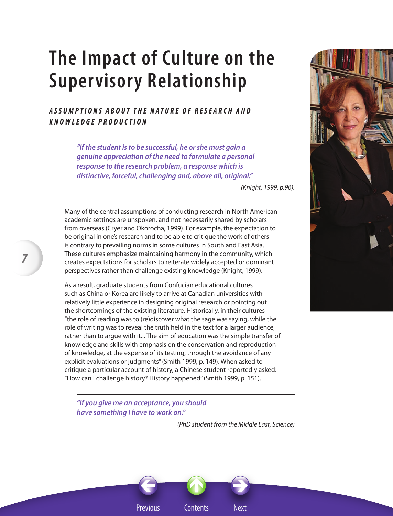# **The Impact of Culture on the Supervisory Relationship**

## *Ass ump tion s abou t t he na t ure of rese a r c h a n d kno w ledge production*

*"If the student is to be successful, he or she must gain a genuine appreciation of the need to formulate a personal response to the research problem, a response which is distinctive, forceful, challenging and, above all, original."*

*(Knight, 1999, p.96).*

Many of the central assumptions of conducting research in North American academic settings are unspoken, and not necessarily shared by scholars from overseas (Cryer and Okorocha, 1999). For example, the expectation to be original in one's research and to be able to critique the work of others is contrary to prevailing norms in some cultures in South and East Asia. These cultures emphasize maintaining harmony in the community, which creates expectations for scholars to reiterate widely accepted or dominant perspectives rather than challenge existing knowledge (Knight, 1999).

As a result, graduate students from Confucian educational cultures such as China or Korea are likely to arrive at Canadian universities with relatively little experience in designing original research or pointing out the shortcomings of the existing literature. Historically, in their cultures "the role of reading was to (re)discover what the sage was saying, while the role of writing was to reveal the truth held in the text for a larger audience, rather than to argue with it... The aim of education was the simple transfer of knowledge and skills with emphasis on the conservation and reproduction of knowledge, at the expense of its testing, through the avoidance of any explicit evaluations or judgments" (Smith 1999, p. 149). When asked to critique a particular account of history, a Chinese student reportedly asked: "How can I challenge history? History happened" (Smith 1999, p. 151).



*"If you give me an acceptance, you should have something I have to work on."*

*7*

*(PhD student from the Middle East, Science)*

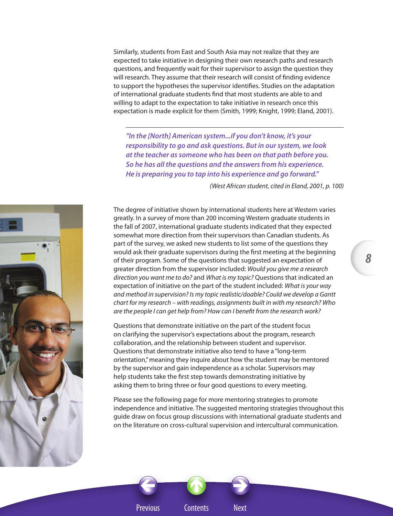Similarly, students from East and South Asia may not realize that they are expected to take initiative in designing their own research paths and research questions, and frequently wait for their supervisor to assign the question they will research. They assume that their research will consist of finding evidence to support the hypotheses the supervisor identifies. Studies on the adaptation of international graduate students find that most students are able to and willing to adapt to the expectation to take initiative in research once this expectation is made explicit for them (Smith, 1999; Knight, 1999; Eland, 2001).

*"In the [North] American system...if you don't know, it's your responsibility to go and ask questions. But in our system, we look at the teacher as someone who has been on that path before you. So he has all the questions and the answers from his experience. He is preparing you to tap into his experience and go forward."*

 *(West African student, cited in Eland, 2001, p. 100)*

*8*



The degree of initiative shown by international students here at Western varies greatly. In a survey of more than 200 incoming Western graduate students in the fall of 2007, international graduate students indicated that they expected somewhat more direction from their supervisors than Canadian students. As part of the survey, we asked new students to list some of the questions they would ask their graduate supervisors during the first meeting at the beginning of their program. Some of the questions that suggested an expectation of greater direction from the supervisor included: *Would you give me a research direction you want me to do?* and *What is my topic?* Questions that indicated an expectation of initiative on the part of the student included: *What is your way and method in supervision? Is my topic realistic/doable? Could we develop a Gantt chart for my research – with readings, assignments built in with my research? Who are the people I can get help from? How can I benefit from the research work?*

Questions that demonstrate initiative on the part of the student focus on clarifying the supervisor's expectations about the program, research collaboration, and the relationship between student and supervisor. Questions that demonstrate initiative also tend to have a "long-term orientation," meaning they inquire about how the student may be mentored by the supervisor and gain independence as a scholar. Supervisors may help students take the first step towards demonstrating initiative by asking them to bring three or four good questions to every meeting.

Please see the following page for more mentoring strategies to promote independence and initiative. The suggested mentoring strategies throughout this guide draw on focus group discussions with international graduate students and on the literature on cross-cultural supervision and intercultural communication.



Previous Contents Next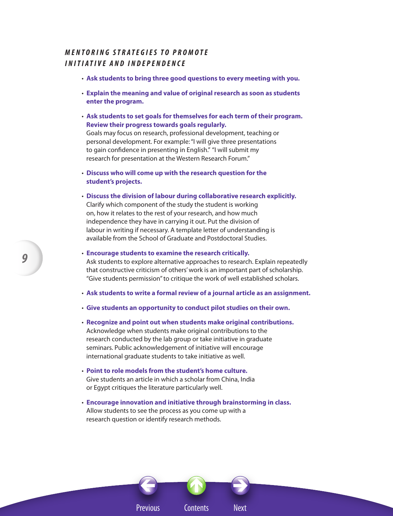## *M e n t oring St r a tegies t o P romo te I n iti a tive and I ndependence*

- **Ask students to bring three good questions to every meeting with you.**
- **Explain the meaning and value of original research as soon as students enter the program.**
- **Ask students to set goals for themselves for each term of their program. Review their progress towards goals regularly.**

Goals may focus on research, professional development, teaching or personal development. For example: "I will give three presentations to gain confidence in presenting in English." "I will submit my research for presentation at the Western Research Forum."

- **Discuss who will come up with the research question for the student's projects.**
- **Discuss the division of labour during collaborative research explicitly.** Clarify which component of the study the student is working on, how it relates to the rest of your research, and how much independence they have in carrying it out. Put the division of labour in writing if necessary. A template letter of understanding is available from the School of Graduate and Postdoctoral Studies.
- **Encourage students to examine the research critically.** Ask students to explore alternative approaches to research. Explain repeatedly that constructive criticism of others' work is an important part of scholarship. "Give students permission" to critique the work of well established scholars.
- **Ask students to write a formal review of a journal article as an assignment.**
- **Give students an opportunity to conduct pilot studies on their own.**
- **Recognize and point out when students make original contributions.** Acknowledge when students make original contributions to the research conducted by the lab group or take initiative in graduate seminars. Public acknowledgement of initiative will encourage international graduate students to take initiative as well.
- **Point to role models from the student's home culture.** Give students an article in which a scholar from China, India or Egypt critiques the literature particularly well.
- **Encourage innovation and initiative through brainstorming in class.** Allow students to see the process as you come up with a research question or identify research methods.

Previous Contents Next

 $\leftrightarrow$ 

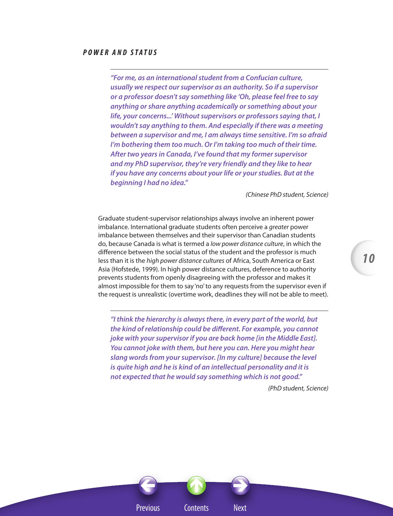### *P o w er and St a t u s*

*"For me, as an international student from a Confucian culture, usually we respect our supervisor as an authority. So if a supervisor or a professor doesn't say something like 'Oh, please feel free to say anything or share anything academically or something about your life, your concerns...' Without supervisors or professors saying that, I wouldn't say anything to them. And especially if there was a meeting between a supervisor and me, I am always time sensitive. I'm so afraid I'm bothering them too much. Or I'm taking too much of their time. After two years in Canada, I've found that my former supervisor and my PhD supervisor, they're very friendly and they like to hear if you have any concerns about your life or your studies. But at the beginning I had no idea."*

*(Chinese PhD student, Science)*

Graduate student-supervisor relationships always involve an inherent power imbalance. International graduate students often perceive a *greater* power imbalance between themselves and their supervisor than Canadian students do, because Canada is what is termed a *low power distance culture*, in which the difference between the social status of the student and the professor is much less than it is the *high power distance cultures* of Africa, South America or East Asia (Hofstede, 1999). In high power distance cultures, deference to authority prevents students from openly disagreeing with the professor and makes it almost impossible for them to say 'no' to any requests from the supervisor even if the request is unrealistic (overtime work, deadlines they will not be able to meet).

*"I think the hierarchy is always there, in every part of the world, but the kind of relationship could be different. For example, you cannot joke with your supervisor if you are back home [in the Middle East]. You cannot joke with them, but here you can. Here you might hear slang words from your supervisor. [In my culture] because the level is quite high and he is kind of an intellectual personality and it is not expected that he would say something which is not good."*

*(PhD student, Science)* 



*10*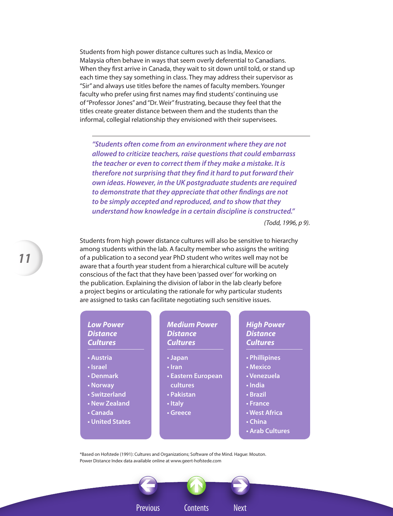Students from high power distance cultures such as India, Mexico or Malaysia often behave in ways that seem overly deferential to Canadians. When they first arrive in Canada, they wait to sit down until told, or stand up each time they say something in class. They may address their supervisor as "Sir" and always use titles before the names of faculty members. Younger faculty who prefer using first names may find students' continuing use of "Professor Jones" and "Dr. Weir" frustrating, because they feel that the titles create greater distance between them and the students than the informal, collegial relationship they envisioned with their supervisees.

*"Students often come from an environment where they are not allowed to criticize teachers, raise questions that could embarrass the teacher or even to correct them if they make a mistake. It is therefore not surprising that they find it hard to put forward their own ideas. However, in the UK postgraduate students are required to demonstrate that they appreciate that other findings are not to be simply accepted and reproduced, and to show that they understand how knowledge in a certain discipline is constructed."*

*(Todd, 1996, p 9).*

Students from high power distance cultures will also be sensitive to hierarchy among students within the lab. A faculty member who assigns the writing of a publication to a second year PhD student who writes well may not be aware that a fourth year student from a hierarchical culture will be acutely conscious of the fact that they have been 'passed over' for working on the publication. Explaining the division of labor in the lab clearly before a project begins or articulating the rationale for why particular students are assigned to tasks can facilitate negotiating such sensitive issues.

## *Low Power Distance Cultures*

- **Austria**
- **Israel**
- **Denmark**
- **Norway**
- **Switzerland**
- **New Zealand**
- **Canada**
- **United States**

#### *Medium Power Distance Cultures*

- **Japan**
- **Iran**
- **Eastern European cultures**
- **Pakistan**
- **Italy**
- **Greece**

*High Power Distance Cultures*

- **Phillipines**
- **Mexico**
- **Venezuela**
- **India**
- **Brazil**
- **France**
- **West Africa**
- **China**
- **Arab Cultures**

\*Based on Hofstede (1991): Cultures and Organizations; Software of the Mind. Hague: Mouton. Power Distance Index data available online at www.geert-hofstede.com

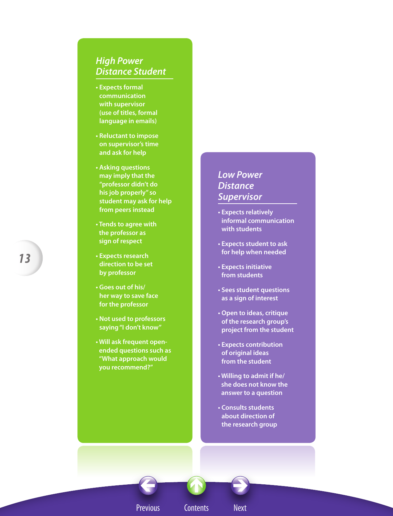# *High Power Distance Student*

- **Expects formal communication with supervisor (use of titles, formal language in emails)**
- **Reluctant to impose on supervisor's time and ask for help**
- **Asking questions may imply that the "professor didn't do his job properly" so student may ask for help from peers instead**
- **Tends to agree with the professor as sign of respect**
- **Expects research direction to be set by professor**
- **Goes out of his/ her way to save face for the professor**
- **Not used to professors saying "I don't know"**
- **Will ask frequent openended questions such as "What approach would you recommend?"**

# *Low Power Distance Supervisor*

- **Expects relatively informal communication with students**
- **Expects student to ask for help when needed**
- **Expects initiative from students**
- **Sees student questions as a sign of interest**
- **Open to ideas, critique of the research group's project from the student**
- **Expects contribution of original ideas from the student**
- **Willing to admit if he/ she does not know the answer to a question**
- **Consults students about direction of the research group**

*13*

Previous Contents Next

 $\leftrightarrow$